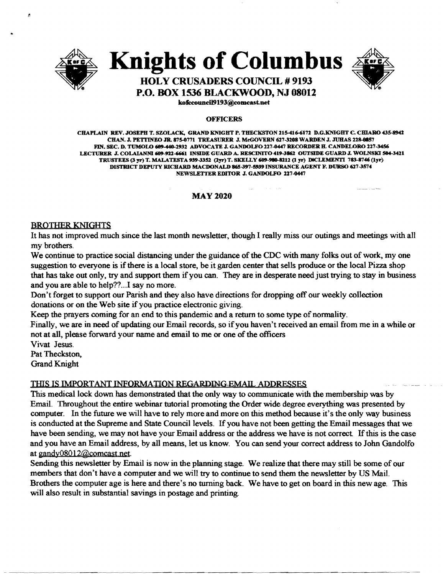

**Knights of Columbus** 



## **HOLY CRUSADERS COUNCIL # 9193 P.O. BOX 1536 BLACKWOOD, NJ 08012**

kofeeouneil9193@comeast.net

#### **OFFICERS**

CHAPLAIN REV. JOSEPH T. SZOLACK., GRAND KNIGHT P. TIlECKSTON 115-416-6171 D.G.KNlGHT C. CHIARO 435-8941 CHAN. J. PETTINEO JR. 875-0771 TREASURER J. MeGOVERN 617-3208 WARDEN J. JUHAS 228-8857 FIN. SEC. D. TUMOLO 609-440-2932 ADVOCATE J. GANDOLFO 227-0447 RECORDER H. CANDELORO 227-3456 LECTURER J. COLAIANNI 609-922-6661 INSIDE GUARD A. RESCINITO 419-3862 OUTSIDE GUARD J. WOLNSKI 504-3421 TRUSTEES (3 yr) T. MALATESTA 939-3352 (2yr) T. SKELLY 609-980-8212 (l yr) DICLEMENTI 783-8746 (lyr) DISTRICT DEPUTY RICHARD MACDONALD 865-397-5939 INSURANCE AGENT F. DURSO 627-3574 NEWSLETTEREDITOR J. GANDOLFO 227-0447

## MAY 2020

## BROTHER KNIGHTS

It has not improved much since the last month newsletter, though I really miss our outings and meetings with all my brothers.

We continue to practice social distancing under the guidance of the CDC with many folks out of work, my one suggestion to everyone is ifthere is a local store, be it garden center that sells produce or the local Pizza shop that has take out only, try and support them if you can. They are in desperate need just trying to stay in business and you are able to help??...I say no more.

Don't forget to support our Parish and they also have directions for dropping off our weekly collection donations or on the Web site if you practice electronic giving.

Keep the prayers coming for an end to this pandemic and a return to some type of normality.

Finally, we are in need of updating our Email records, so ifyou haven't received an email from me in a while or not at all, please forward your name and email to me or one of the officers

Vivat Jesus. Pat Theckston.

Grand Knight

## THIS IS IMPORTANT INFORMATION REGARDING EMAIL ADDRESSES

This medical lock down has demonstrated that the only way to communicate with the membership was by EmaiL Throughout the entire webinar tutorial promoting the Order wide degree everything was presented by computer. In the future we will have to rely more and more on this method because it's the only way business is conducted at the Supreme and State Council levels. Ifyou have not been getting the Email messages that we have been sending, we may not have your Email address or the address we have is not correct. If this is the case and you have an Email address, by all means, let us know. You can send your correct address to John Gandolfo at gandy08012@comcast.net.

Sending this newsletter by Email is now in the planning stage. We realize that there may still be some of our members that don't have a computer and we will try to continue to send them the newsletter by US Mail. Brothers the computer age is here and there's no turning back. We have to get on board in this new age. This will also result in substantial savings in postage and printing.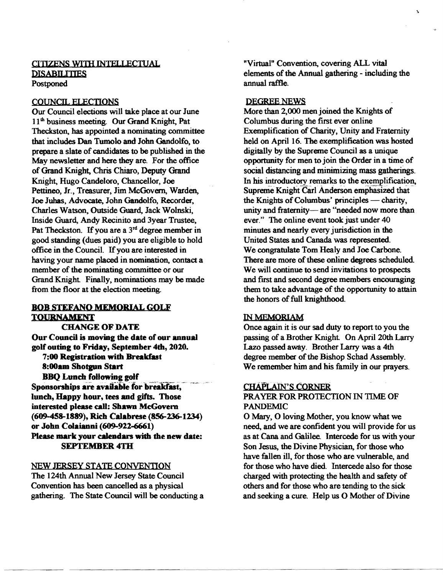## CITIZENS WITH INTELLECTUAL **DISABILITIES** Postponed

#### COUNCIL EI.ECTIONS

Our Council elections will take place at our June 11<sup>th</sup> business meeting. Our Grand Knight, Pat Theckston. has appointed a nominating committee that includes Dan Tumolo and John Gandolfo, to prepare a slate of candidates to be published in the May newsletter and here they are. For the office of Grand Knight, Chris Chiaro, Deputy Grand Knight, Hugo Candeloro, Chancellor, Joe Pettineo, Jr., Treasurer, Jim McGovern. Warden, Joe Juhas, Advocate, John Gandolfo, Recorder, Charles Watson, Outside Guard, Jack Wolnski, Inside Guard, Andy Recinito and 3year Trustee, Pat Theckston. If you are a  $3<sup>rd</sup>$  degree member in good standing (dues paid) you are eligible to hold office in the Council. Ifyou are interested in having your name placed in nomination. contact a member of the nominating committee or our Grand Knight. Finally, nominations may be made from the floor at the election meeting.

#### BOB STEFANO MEMORIAL GOLF TOURNAMENT

CHANGE OF DATE Our Council is moving the date of our annual golf outing to Friday, September 4th, 2020.

7:00 Registration with Breakfast 8:00am Shotgun Start BBQ Lunch following golf

Sponsorships are available for breakfast, lunch, Happy hour, tees and gifts. Those interested please call: Shawn McGovem (609-458-1889), Rich Calabrese (856-236-1234) or John Colaianni (609-922-6661) Please mark your calendars with the new date: SEPTEMBER 4TH

#### NEW JERSEY STATE CONVENTION

The 124th Annual New Jersey State Council Convention has been cancelled as a physical gathering. The State Council will be conducting a "Virtual" Convention, covering ALL vital elements of the Annual gathering - including the annual raffie.

#### DEGREE NEWS

More than 2,000 men joined the Knights of Columbus during the first ever online Exemplification of Charity, Unity and Fraternity held on April 16. The exemplification was hosted digitally by the Supreme Council as a unique opportunity for men to join the Order in a time of social distancing and minimizing mass gatherings. In his introductory remarks to the exemplification, Supreme Knight Carl Anderson emphasized that the Knights of Columbus' principles — charity, unity and fraternity-are "needed now more than ever." The online event took just under 40 minutes and nearly every jurisdiction in the United States and Canada was represented. We congratulate Tom Healy and Joe Carbone. There are more of these online degrees scheduled. We will continue to send invitations to prospects and first and second degree members encouraging them to take advantage of the opportunity to attain the honors of full knighthood.

## IN MEMORIAM

Once again it is our sad duty to report to you the passing of a Brother Knight. On April 20th Larry Lazo passed away. Brother Larry was a 4th degree member of the Bishop Schad Assembly. We remember him and his family in our prayers.

#### CHAPLAIN'S CORNER

#### PRAYER FOR PROTECTION IN TIME OF PANDEMIC

o Mary, 0 loving Mother, you know what we need, and we are confident you will provide for us as at Cana and Galilee. Intercede for us with your Son Jesus, the Divine Physician, for those who have fallen ill. for those who are vulnerable, and for those who have died. Intercede also for those charged with protecting the health and safety of others and for those who are tending to the sick and seeking a cure. Help us O Mother of Divine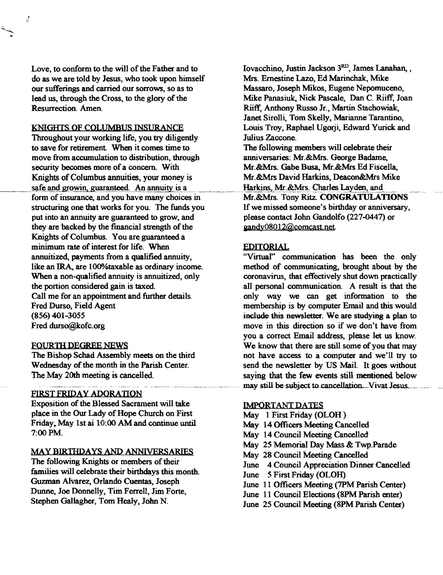Love, to conform to the will of the Father and to Iovacchino, Justin Jackson  $3<sup>RD</sup>$ , James Lanahan, , do as we are told by Jesus, who took upon himself Mrs. Ernestine Lazo, Ed Marinchak, Mike our sufferings and carried our sorrows, so as to Massaro, Joseph Mikos, Eugene Nepomuceno, lead us, through the Cross, to the glory of the Mike Panasiuk, Nick Pascale, Dan C. Riiff, Joan Resurrection. Amen. **Riiff, Anthony Russo Jr., Martin Stachowiak**,

مي.<br>مراجع

Throughout your working life, you try diligently Julius Zaccone. to save for retirement When it comes time to The following members will celebrate their move from accumulation to distribution, through anniversaries: Mr. & Mrs. George Badame, security becomes more of a concern. With Mr. &Mrs. Gabe Busa, Mr. &Mrs Ed Fiscella, Knights of Columbus annuities, your money is Mr. &Mrs David Harkins, Deacon&Mrs Mike \_\_\_.. safe and~owin. guar~. An annuity is a ~ ..~\_.\_\_\_\_\_\_\_~ ~~Harki~Mr.~!!.9wlesJ~~yden,.and .. form of insurance, and you have many choices in structuring one that works for you. The funds you If we missed someone's birthday or anniversary, put into an annuity are guaranteed to grow, and please contact John Gandolfo (227-0447) or they are backed by the financial strength of the gandy08012@comcast.net. Knights of Columbus. You are guaranteed a minimum rate of interest for life. When lIDITORIAL annuitized, payments from a qualified annuity, "Virtuaf' communication has been the only When a non-qualified annuity is annuitized, only coronavirus, that effectively shut down practically the portion considered gain is taxed. all personal communication. A result is that the Call me for an appointment and further details. only way we can get information to the (856) 401-3055 include this newsletter. We are studying a plan to Fred durso@kofc.org move in this direction so if we don't have from

#### FIRST FRIDAY ADORATION

Exposition of the Blessed Sacrament will take IMPORTANT DATES place in the Our Lady of Hope Church on First May 1 First Friday (OLOH) Friday, May 1st ai 10:00 AM and continue until May 14 Officers Meeting Cancelled<br>7:00 PM. May 14 Council Meeting Cancelled

# May 25 Memorial Day Mass & Twp.Parade<br>The following Knights or members of their<br>May 28 Council Meeting Cancelled<br>Imperial Annouation Dinner Cancel

The following Knights or members of their<br>
families will celebrate their birthdays this month.<br>
Tune 5 First Eriday (OLOH) Families will celebrate their birthdays this month.<br>
Guzman Alvarez, Orlando Cuentas, Joseph<br>
Dunne, Joe Donnelly, Tim Ferrell, Jim Forte,<br>
Stephen Gallagher, Tom Healy, John N.<br>
June 11 Council Elections (8PM Parish enter

Janet Sirolli, Tom Skelly, Marianne Tarantino, KNIGHTS OF COLUMBUS INSURANCE Louis Troy, Raphael Ugorji, Edward Yurick and

like an IRA, are 100% taxable as ordinary income. The method of communicating, brought about by the Fred Durso, Field Agent membership is by computer Email and this would you a correct Email address, please let us know. FOURTH DEGREE NEWS We know that there are still some of you that may The Bishop Schad Assembly meets on the third not have access to a computer and we'll try to Wednesday of the month in the Parish Center. send the newsletter by US Mail. It goes without The May 20th meeting is cancelled. saying that the few events still mentioned below may still be subject to cancellation. Vivat Jesus.

- 
- 
- May 14 Council Meeting Cancelled
- 
- 
- 
- 
- 
- 
-